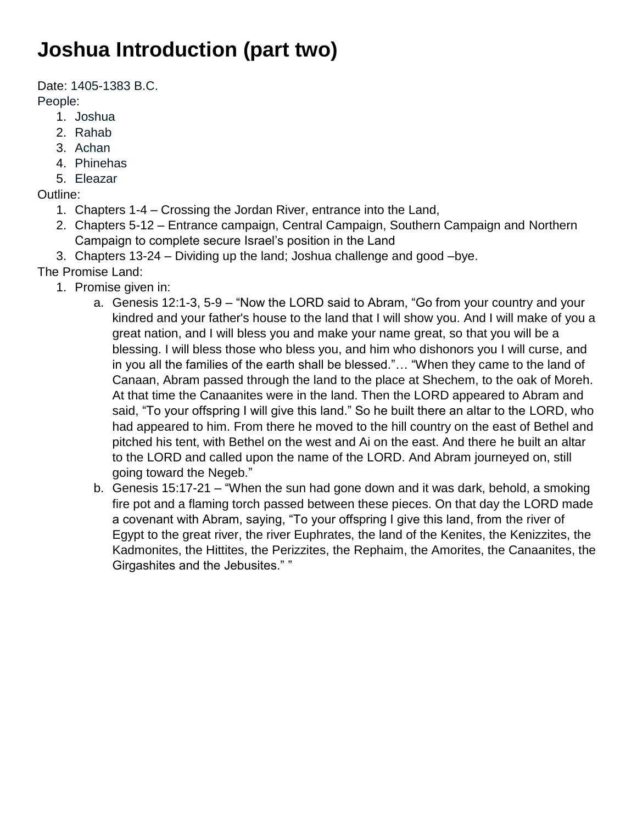## **Joshua Introduction (part two)**

Date: 1405-1383 B.C.

People:

- 1. Joshua
- 2. Rahab
- 3. Achan
- 4. Phinehas
- 5. Eleazar

Outline:

- 1. Chapters 1-4 Crossing the Jordan River, entrance into the Land,
- 2. Chapters 5-12 Entrance campaign, Central Campaign, Southern Campaign and Northern Campaign to complete secure Israel's position in the Land
- 3. Chapters 13-24 Dividing up the land; Joshua challenge and good –bye.
- The Promise Land:
	- 1. Promise given in:
		- a. Genesis 12:1-3, 5-9 "Now the LORD said to Abram, "Go from your country and your kindred and your father's house to the land that I will show you. And I will make of you a great nation, and I will bless you and make your name great, so that you will be a blessing. I will bless those who bless you, and him who dishonors you I will curse, and in you all the families of the earth shall be blessed."… "When they came to the land of Canaan, Abram passed through the land to the place at Shechem, to the oak of Moreh. At that time the Canaanites were in the land. Then the LORD appeared to Abram and said, "To your offspring I will give this land." So he built there an altar to the LORD, who had appeared to him. From there he moved to the hill country on the east of Bethel and pitched his tent, with Bethel on the west and Ai on the east. And there he built an altar to the LORD and called upon the name of the LORD. And Abram journeyed on, still going toward the Negeb."
		- b. Genesis 15:17-21 "When the sun had gone down and it was dark, behold, a smoking fire pot and a flaming torch passed between these pieces. On that day the LORD made a covenant with Abram, saying, "To your offspring I give this land, from the river of Egypt to the great river, the river Euphrates, the land of the Kenites, the Kenizzites, the Kadmonites, the Hittites, the Perizzites, the Rephaim, the Amorites, the Canaanites, the Girgashites and the Jebusites." "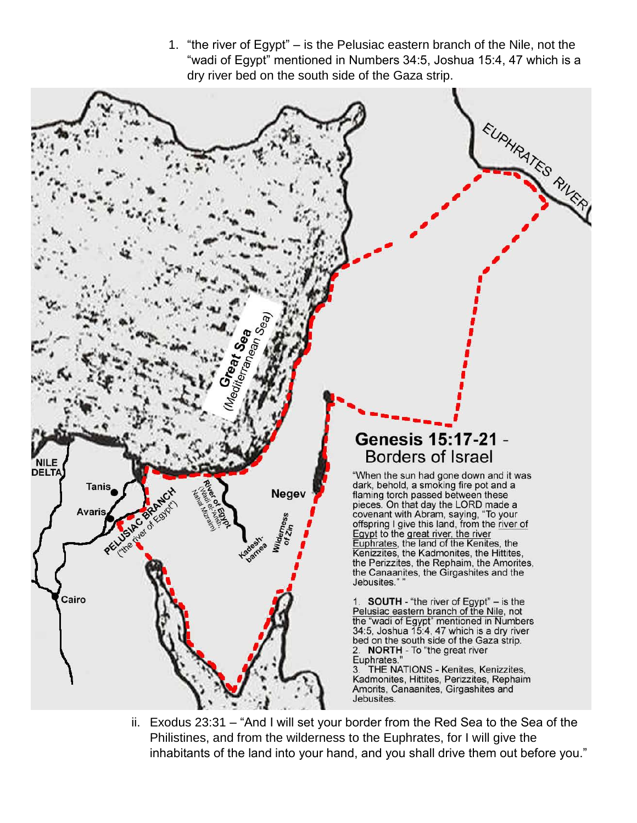1. "the river of Egypt" – is the Pelusiac eastern branch of the Nile, not the "wadi of Egypt" mentioned in Numbers 34:5, Joshua 15:4, 47 which is a dry river bed on the south side of the Gaza strip.



ii. Exodus 23:31 – "And I will set your border from the Red Sea to the Sea of the Philistines, and from the wilderness to the Euphrates, for I will give the inhabitants of the land into your hand, and you shall drive them out before you."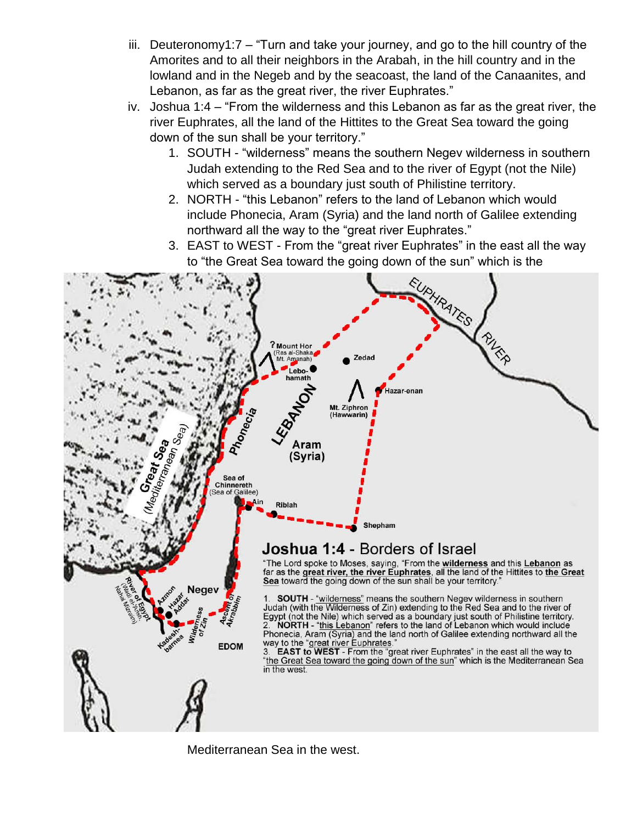- iii. Deuteronomy1:7 "Turn and take your journey, and go to the hill country of the Amorites and to all their neighbors in the Arabah, in the hill country and in the lowland and in the Negeb and by the seacoast, the land of the Canaanites, and Lebanon, as far as the great river, the river Euphrates."
- iv. Joshua 1:4 "From the wilderness and this Lebanon as far as the great river, the river Euphrates, all the land of the Hittites to the Great Sea toward the going down of the sun shall be your territory."
	- 1. SOUTH "wilderness" means the southern Negev wilderness in southern Judah extending to the Red Sea and to the river of Egypt (not the Nile) which served as a boundary just south of Philistine territory.
	- 2. NORTH "this Lebanon" refers to the land of Lebanon which would include Phonecia, Aram (Syria) and the land north of Galilee extending northward all the way to the "great river Euphrates."
	- 3. EAST to WEST From the "great river Euphrates" in the east all the way to "the Great Sea toward the going down of the sun" which is the



Mediterranean Sea in the west.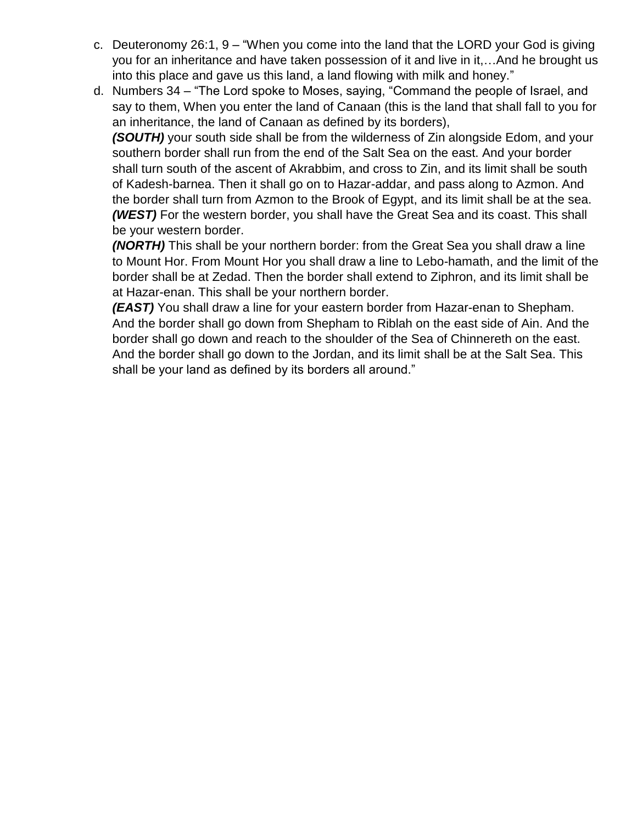- c. Deuteronomy 26:1, 9 "When you come into the land that the LORD your God is giving you for an inheritance and have taken possession of it and live in it,…And he brought us into this place and gave us this land, a land flowing with milk and honey."
- d. Numbers 34 "The Lord spoke to Moses, saying, "Command the people of Israel, and say to them, When you enter the land of Canaan (this is the land that shall fall to you for an inheritance, the land of Canaan as defined by its borders),

*(SOUTH)* your south side shall be from the wilderness of Zin alongside Edom, and your southern border shall run from the end of the Salt Sea on the east. And your border shall turn south of the ascent of Akrabbim, and cross to Zin, and its limit shall be south of Kadesh-barnea. Then it shall go on to Hazar-addar, and pass along to Azmon. And the border shall turn from Azmon to the Brook of Egypt, and its limit shall be at the sea. *(WEST)* For the western border, you shall have the Great Sea and its coast. This shall be your western border.

*(NORTH)* This shall be your northern border: from the Great Sea you shall draw a line to Mount Hor. From Mount Hor you shall draw a line to Lebo-hamath, and the limit of the border shall be at Zedad. Then the border shall extend to Ziphron, and its limit shall be at Hazar-enan. This shall be your northern border.

*(EAST)* You shall draw a line for your eastern border from Hazar-enan to Shepham. And the border shall go down from Shepham to Riblah on the east side of Ain. And the border shall go down and reach to the shoulder of the Sea of Chinnereth on the east. And the border shall go down to the Jordan, and its limit shall be at the Salt Sea. This shall be your land as defined by its borders all around."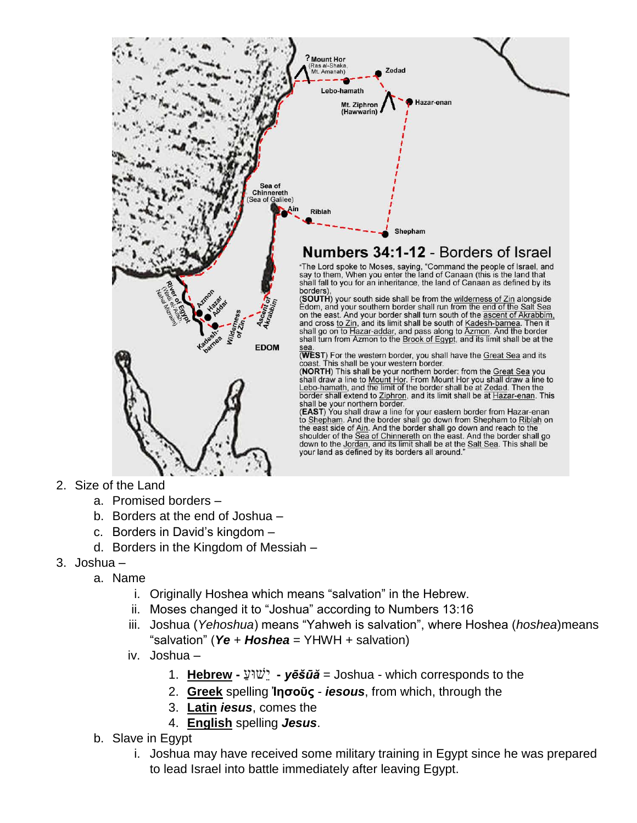

- 2. Size of the Land
	- a. Promised borders –
	- b. Borders at the end of Joshua –
	- c. Borders in David's kingdom –
	- d. Borders in the Kingdom of Messiah –
- 3. Joshua
	- a. Name
		- i. Originally Hoshea which means "salvation" in the Hebrew.
		- ii. Moses changed it to "Joshua" according to Numbers 13:16
		- iii. Joshua (*Yehoshua*) means "Yahweh is salvation", where Hoshea (*hoshea*)means "salvation" (*Ye* + *Hoshea* = YHWH + salvation)
		- iv. Joshua
			- 1. **Hebrew -** ַ ועּשֵׁי **-** *yēšūă* = Joshua which corresponds to the
			- 2. **Greek** spelling **Ἰησοῦς** *iesous*, from which, through the
			- 3. **Latin** *iesus*, comes the
			- 4. **English** spelling *Jesus*.
	- b. Slave in Egypt
		- i. Joshua may have received some military training in Egypt since he was prepared to lead Israel into battle immediately after leaving Egypt.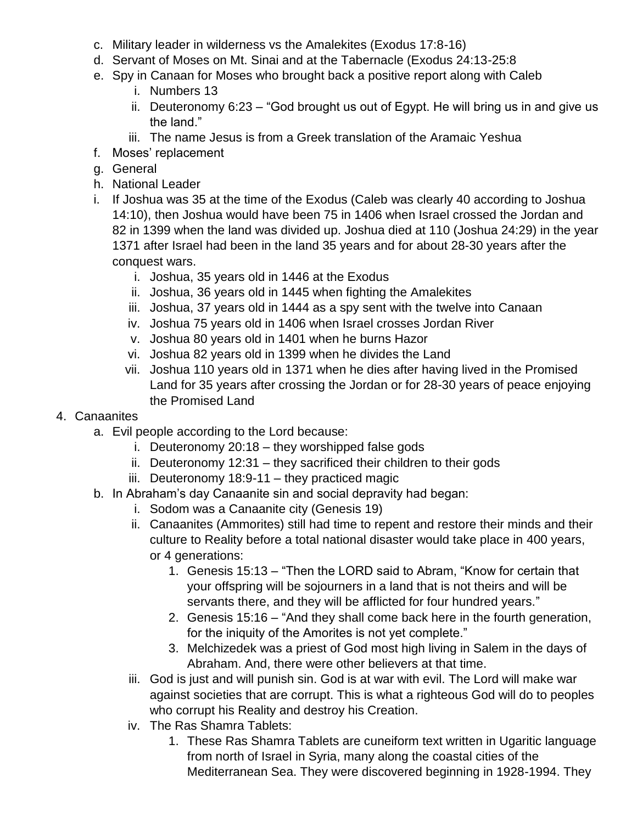- c. Military leader in wilderness vs the Amalekites (Exodus 17:8-16)
- d. Servant of Moses on Mt. Sinai and at the Tabernacle (Exodus 24:13-25:8
- e. Spy in Canaan for Moses who brought back a positive report along with Caleb
	- i. Numbers 13
	- ii. Deuteronomy 6:23 "God brought us out of Egypt. He will bring us in and give us the land."
	- iii. The name Jesus is from a Greek translation of the Aramaic Yeshua
- f. Moses' replacement
- g. General
- h. National Leader
- i. If Joshua was 35 at the time of the Exodus (Caleb was clearly 40 according to Joshua 14:10), then Joshua would have been 75 in 1406 when Israel crossed the Jordan and 82 in 1399 when the land was divided up. Joshua died at 110 (Joshua 24:29) in the year 1371 after Israel had been in the land 35 years and for about 28-30 years after the conquest wars.
	- i. Joshua, 35 years old in 1446 at the Exodus
	- ii. Joshua, 36 years old in 1445 when fighting the Amalekites
	- iii. Joshua, 37 years old in 1444 as a spy sent with the twelve into Canaan
	- iv. Joshua 75 years old in 1406 when Israel crosses Jordan River
	- v. Joshua 80 years old in 1401 when he burns Hazor
	- vi. Joshua 82 years old in 1399 when he divides the Land
	- vii. Joshua 110 years old in 1371 when he dies after having lived in the Promised Land for 35 years after crossing the Jordan or for 28-30 years of peace enjoying the Promised Land
- 4. Canaanites
	- a. Evil people according to the Lord because:
		- i. Deuteronomy 20:18 they worshipped false gods
		- ii. Deuteronomy 12:31 they sacrificed their children to their gods
		- iii. Deuteronomy  $18:9-11$  they practiced magic
	- b. In Abraham's day Canaanite sin and social depravity had began:
		- i. Sodom was a Canaanite city (Genesis 19)
		- ii. Canaanites (Ammorites) still had time to repent and restore their minds and their culture to Reality before a total national disaster would take place in 400 years, or 4 generations:
			- 1. Genesis 15:13 "Then the LORD said to Abram, "Know for certain that your offspring will be sojourners in a land that is not theirs and will be servants there, and they will be afflicted for four hundred years."
			- 2. Genesis 15:16 "And they shall come back here in the fourth generation, for the iniquity of the Amorites is not yet complete."
			- 3. Melchizedek was a priest of God most high living in Salem in the days of Abraham. And, there were other believers at that time.
		- iii. God is just and will punish sin. God is at war with evil. The Lord will make war against societies that are corrupt. This is what a righteous God will do to peoples who corrupt his Reality and destroy his Creation.
		- iv. The Ras Shamra Tablets:
			- 1. These Ras Shamra Tablets are cuneiform text written in Ugaritic language from north of Israel in Syria, many along the coastal cities of the Mediterranean Sea. They were discovered beginning in 1928-1994. They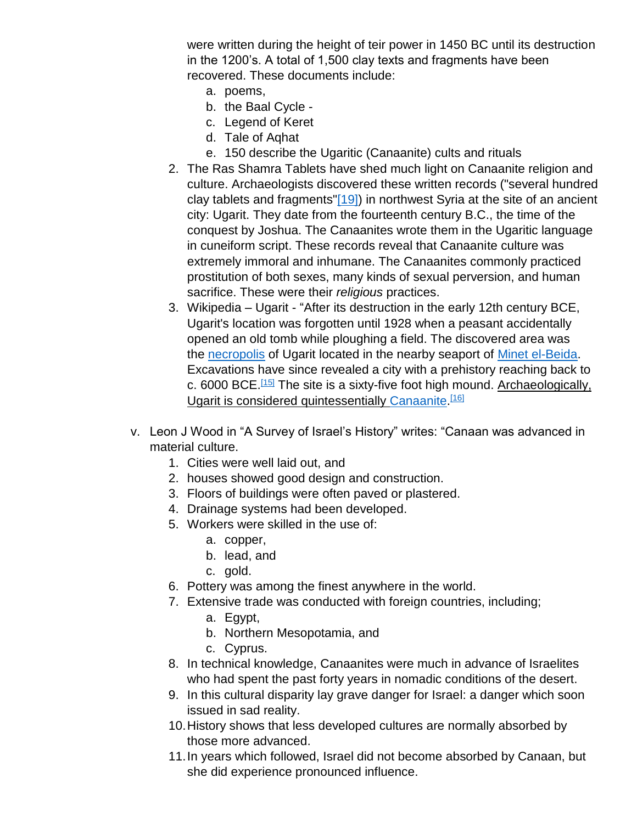were written during the height of teir power in 1450 BC until its destruction in the 1200's. A total of 1,500 clay texts and fragments have been recovered. These documents include:

- a. poems,
- b. the Baal Cycle -
- c. Legend of Keret
- d. Tale of Aqhat
- e. 150 describe the Ugaritic (Canaanite) cults and rituals
- 2. The Ras Shamra Tablets have shed much light on Canaanite religion and culture. Archaeologists discovered these written records ("several hundred clay tablets and fragments["\[19\]\)](https://www.planobiblechapel.org/tcon/notes/html/ot/joshua/joshua.htm#_ftn19) in northwest Syria at the site of an ancient city: Ugarit. They date from the fourteenth century B.C., the time of the conquest by Joshua. The Canaanites wrote them in the Ugaritic language in cuneiform script. These records reveal that Canaanite culture was extremely immoral and inhumane. The Canaanites commonly practiced prostitution of both sexes, many kinds of sexual perversion, and human sacrifice. These were their *religious* practices.
- 3. Wikipedia Ugarit "After its destruction in the early 12th century BCE, Ugarit's location was forgotten until 1928 when a peasant accidentally opened an old tomb while ploughing a field. The discovered area was the [necropolis](https://en.wikipedia.org/wiki/Necropolis) of Ugarit located in the nearby seaport of [Minet el-Beida.](https://en.wikipedia.org/wiki/Minet_el-Beida) Excavations have since revealed a city with a prehistory reaching back to c. 6000 BCE.<sup>[\[15\]](https://en.wikipedia.org/wiki/Ugarit#cite_note-MargueriteYon-15)</sup> The site is a sixty-five foot high mound. Archaeologically, Ugarit is considered quintessentially [Canaanite.](https://en.wikipedia.org/wiki/Canaan)<sup>[\[16\]](https://en.wikipedia.org/wiki/Ugarit#cite_note-16)</sup>
- v. Leon J Wood in "A Survey of Israel's History" writes: "Canaan was advanced in material culture.
	- 1. Cities were well laid out, and
	- 2. houses showed good design and construction.
	- 3. Floors of buildings were often paved or plastered.
	- 4. Drainage systems had been developed.
	- 5. Workers were skilled in the use of:
		- a. copper,
		- b. lead, and
		- c. gold.
	- 6. Pottery was among the finest anywhere in the world.
	- 7. Extensive trade was conducted with foreign countries, including;
		- a. Egypt,
		- b. Northern Mesopotamia, and
		- c. Cyprus.
	- 8. In technical knowledge, Canaanites were much in advance of Israelites who had spent the past forty years in nomadic conditions of the desert.
	- 9. In this cultural disparity lay grave danger for Israel: a danger which soon issued in sad reality.
	- 10.History shows that less developed cultures are normally absorbed by those more advanced.
	- 11.In years which followed, Israel did not become absorbed by Canaan, but she did experience pronounced influence.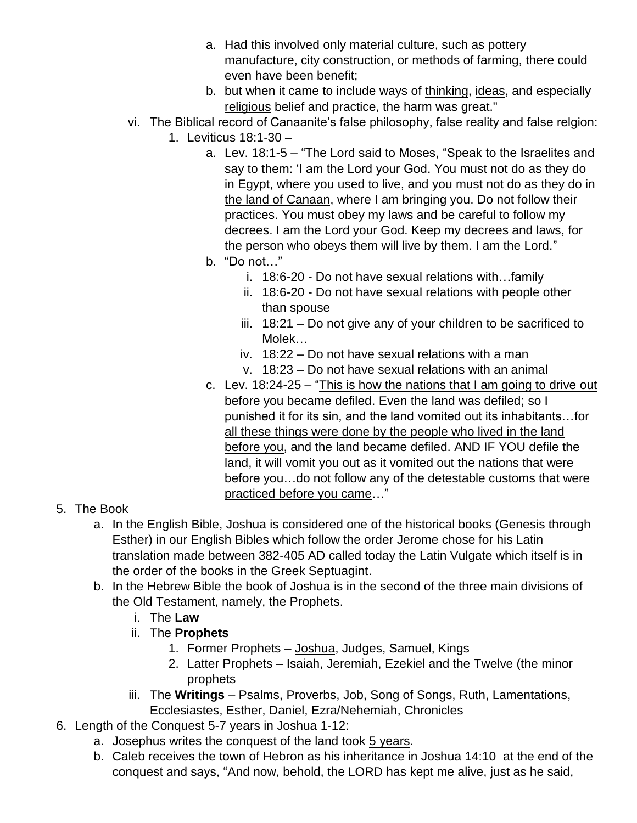- a. Had this involved only material culture, such as pottery manufacture, city construction, or methods of farming, there could even have been benefit;
- b. but when it came to include ways of thinking, ideas, and especially religious belief and practice, the harm was great."
- vi. The Biblical record of Canaanite's false philosophy, false reality and false relgion: 1. Leviticus 18:1-30 –
	- a. Lev. 18:1-5 "The Lord said to Moses, "Speak to the Israelites and say to them: 'I am the Lord your God. You must not do as they do in Egypt, where you used to live, and you must not do as they do in the land of Canaan, where I am bringing you. Do not follow their practices. You must obey my laws and be careful to follow my decrees. I am the Lord your God. Keep my decrees and laws, for the person who obeys them will live by them. I am the Lord."
	- b. "Do not…"
		- i. 18:6-20 Do not have sexual relations with…family
		- ii. 18:6-20 Do not have sexual relations with people other than spouse
		- iii. 18:21 Do not give any of your children to be sacrificed to Molek…
		- iv. 18:22 Do not have sexual relations with a man
		- v. 18:23 Do not have sexual relations with an animal
	- c. Lev. 18:24-25 "This is how the nations that I am going to drive out before you became defiled. Even the land was defiled; so I punished it for its sin, and the land vomited out its inhabitants…for all these things were done by the people who lived in the land before you, and the land became defiled. AND IF YOU defile the land, it will vomit you out as it vomited out the nations that were before you...do not follow any of the detestable customs that were practiced before you came…"
- 5. The Book
	- a. In the English Bible, Joshua is considered one of the historical books (Genesis through Esther) in our English Bibles which follow the order Jerome chose for his Latin translation made between 382-405 AD called today the Latin Vulgate which itself is in the order of the books in the Greek Septuagint.
	- b. In the Hebrew Bible the book of Joshua is in the second of the three main divisions of the Old Testament, namely, the Prophets.
		- i. The **Law**
		- ii. The **Prophets**
			- 1. Former Prophets Joshua, Judges, Samuel, Kings
			- 2. Latter Prophets Isaiah, Jeremiah, Ezekiel and the Twelve (the minor prophets
		- iii. The **Writings** Psalms, Proverbs, Job, Song of Songs, Ruth, Lamentations, Ecclesiastes, Esther, Daniel, Ezra/Nehemiah, Chronicles
- 6. Length of the Conquest 5-7 years in Joshua 1-12:
	- a. Josephus writes the conquest of the land took 5 years.
	- b. Caleb receives the town of Hebron as his inheritance in Joshua 14:10 at the end of the conquest and says, "And now, behold, the LORD has kept me alive, just as he said,